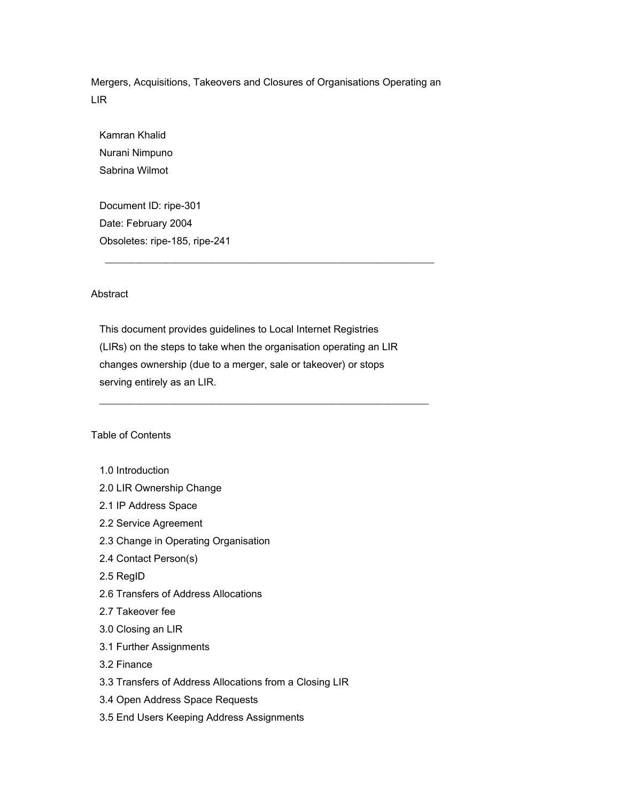Mergers, Acquisitions, Takeovers and Closures of Organisations Operating an LIR

 Kamran Khalid Nurani Nimpuno Sabrina Wilmot

 Document ID: ripe-301 Date: February 2004 Obsoletes: ripe-185, ripe-241

# Abstract

 This document provides guidelines to Local Internet Registries (LIRs) on the steps to take when the organisation operating an LIR changes ownership (due to a merger, sale or takeover) or stops serving entirely as an LIR.

 $\frac{1}{2}$  ,  $\frac{1}{2}$  ,  $\frac{1}{2}$  ,  $\frac{1}{2}$  ,  $\frac{1}{2}$  ,  $\frac{1}{2}$  ,  $\frac{1}{2}$  ,  $\frac{1}{2}$  ,  $\frac{1}{2}$  ,  $\frac{1}{2}$  ,  $\frac{1}{2}$  ,  $\frac{1}{2}$  ,  $\frac{1}{2}$  ,  $\frac{1}{2}$  ,  $\frac{1}{2}$  ,  $\frac{1}{2}$  ,  $\frac{1}{2}$  ,  $\frac{1}{2}$  ,  $\frac{1$ 

 $\frac{1}{2}$  ,  $\frac{1}{2}$  ,  $\frac{1}{2}$  ,  $\frac{1}{2}$  ,  $\frac{1}{2}$  ,  $\frac{1}{2}$  ,  $\frac{1}{2}$  ,  $\frac{1}{2}$  ,  $\frac{1}{2}$  ,  $\frac{1}{2}$  ,  $\frac{1}{2}$  ,  $\frac{1}{2}$  ,  $\frac{1}{2}$  ,  $\frac{1}{2}$  ,  $\frac{1}{2}$  ,  $\frac{1}{2}$  ,  $\frac{1}{2}$  ,  $\frac{1}{2}$  ,  $\frac{1$ 

# Table of Contents

- 1.0 Introduction
- 2.0 LIR Ownership Change
- 2.1 IP Address Space
- 2.2 Service Agreement
- 2.3 Change in Operating Organisation
- 2.4 Contact Person(s)
- 2.5 RegID
- 2.6 Transfers of Address Allocations
- 2.7 Takeover fee
- 3.0 Closing an LIR
- 3.1 Further Assignments
- 3.2 Finance
- 3.3 Transfers of Address Allocations from a Closing LIR
- 3.4 Open Address Space Requests
- 3.5 End Users Keeping Address Assignments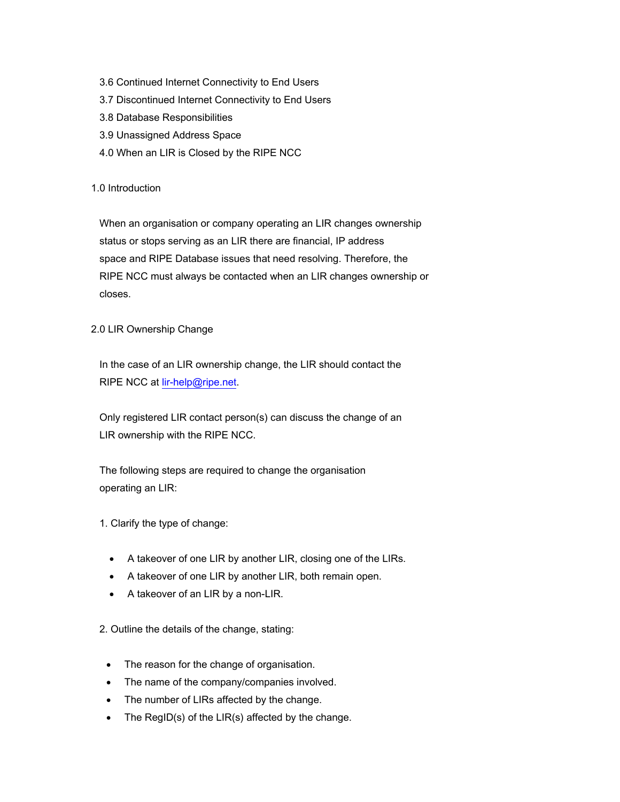- 3.6 Continued Internet Connectivity to End Users
- 3.7 Discontinued Internet Connectivity to End Users
- 3.8 Database Responsibilities
- 3.9 Unassigned Address Space
- 4.0 When an LIR is Closed by the RIPE NCC

# 1.0 Introduction

 When an organisation or company operating an LIR changes ownership status or stops serving as an LIR there are financial, IP address space and RIPE Database issues that need resolving. Therefore, the RIPE NCC must always be contacted when an LIR changes ownership or closes.

# 2.0 LIR Ownership Change

 In the case of an LIR ownership change, the LIR should contact the RIPE NCC at [lir-help@ripe.net.](mailto:lir-help@ripe.net)

 Only registered LIR contact person(s) can discuss the change of an LIR ownership with the RIPE NCC.

 The following steps are required to change the organisation operating an LIR:

- 1. Clarify the type of change:
	- A takeover of one LIR by another LIR, closing one of the LIRs.
	- A takeover of one LIR by another LIR, both remain open.
	- A takeover of an LIR by a non-LIR.

2. Outline the details of the change, stating:

- The reason for the change of organisation.
- The name of the company/companies involved.
- The number of LIRs affected by the change.
- The RegID(s) of the LIR(s) affected by the change.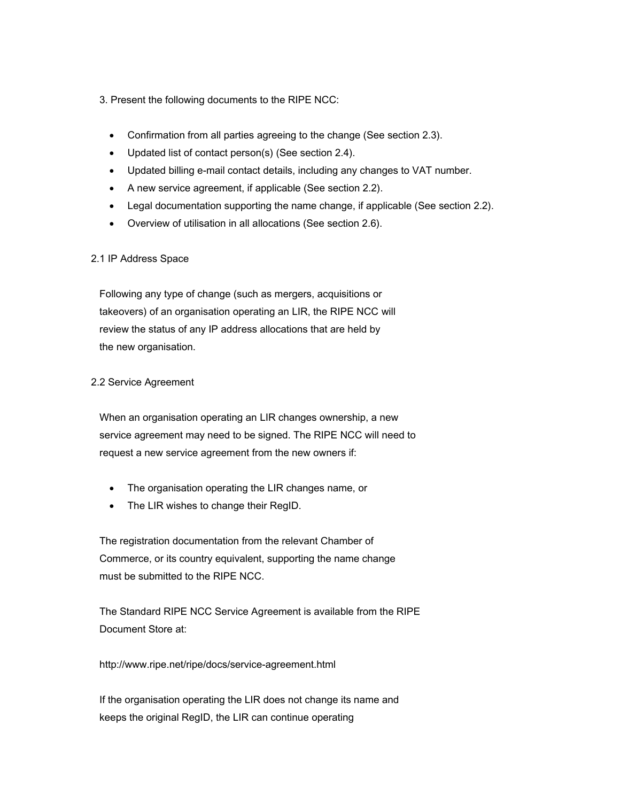# 3. Present the following documents to the RIPE NCC:

- Confirmation from all parties agreeing to the change (See section 2.3).
- Updated list of contact person(s) (See section 2.4).
- Updated billing e-mail contact details, including any changes to VAT number.
- A new service agreement, if applicable (See section 2.2).
- Legal documentation supporting the name change, if applicable (See section 2.2).
- Overview of utilisation in all allocations (See section 2.6).

# 2.1 IP Address Space

 Following any type of change (such as mergers, acquisitions or takeovers) of an organisation operating an LIR, the RIPE NCC will review the status of any IP address allocations that are held by the new organisation.

# 2.2 Service Agreement

 When an organisation operating an LIR changes ownership, a new service agreement may need to be signed. The RIPE NCC will need to request a new service agreement from the new owners if:

- The organisation operating the LIR changes name, or
- The LIR wishes to change their RegID.

 The registration documentation from the relevant Chamber of Commerce, or its country equivalent, supporting the name change must be submitted to the RIPE NCC.

 The Standard RIPE NCC Service Agreement is available from the RIPE Document Store at:

http://www.ripe.net/ripe/docs/service-agreement.html

 If the organisation operating the LIR does not change its name and keeps the original RegID, the LIR can continue operating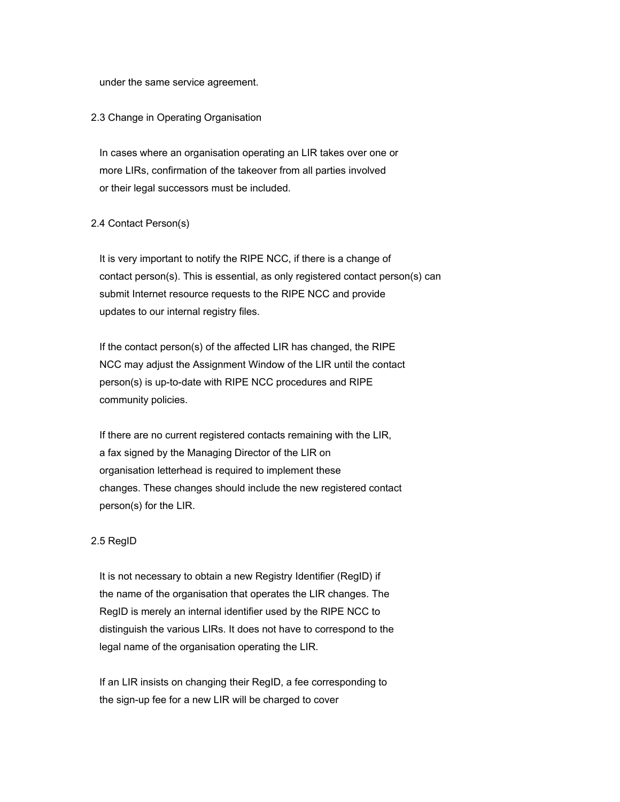under the same service agreement.

# 2.3 Change in Operating Organisation

 In cases where an organisation operating an LIR takes over one or more LIRs, confirmation of the takeover from all parties involved or their legal successors must be included.

# 2.4 Contact Person(s)

 It is very important to notify the RIPE NCC, if there is a change of contact person(s). This is essential, as only registered contact person(s) can submit Internet resource requests to the RIPE NCC and provide updates to our internal registry files.

 If the contact person(s) of the affected LIR has changed, the RIPE NCC may adjust the Assignment Window of the LIR until the contact person(s) is up-to-date with RIPE NCC procedures and RIPE community policies.

 If there are no current registered contacts remaining with the LIR, a fax signed by the Managing Director of the LIR on organisation letterhead is required to implement these changes. These changes should include the new registered contact person(s) for the LIR.

## 2.5 RegID

 It is not necessary to obtain a new Registry Identifier (RegID) if the name of the organisation that operates the LIR changes. The RegID is merely an internal identifier used by the RIPE NCC to distinguish the various LIRs. It does not have to correspond to the legal name of the organisation operating the LIR.

 If an LIR insists on changing their RegID, a fee corresponding to the sign-up fee for a new LIR will be charged to cover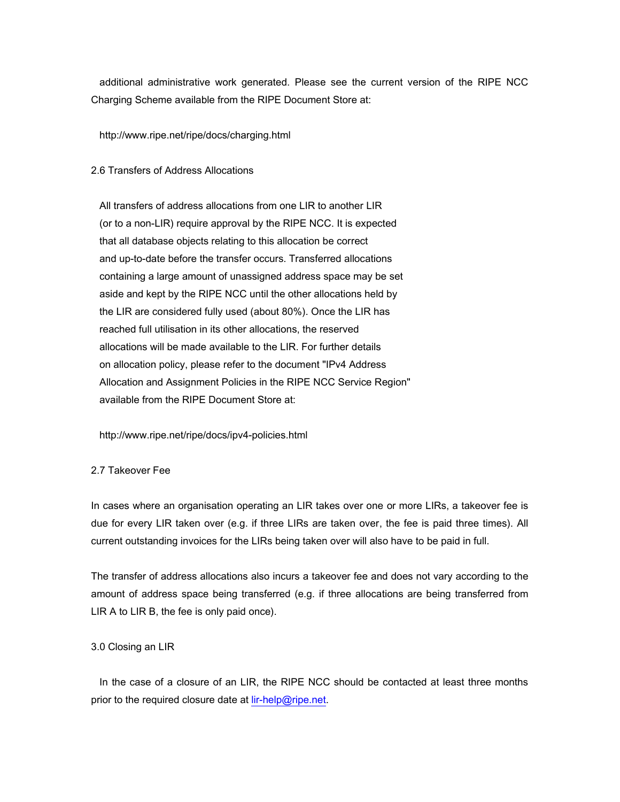additional administrative work generated. Please see the current version of the RIPE NCC Charging Scheme available from the RIPE Document Store at:

#### http://www.ripe.net/ripe/docs/charging.html

#### 2.6 Transfers of Address Allocations

 All transfers of address allocations from one LIR to another LIR (or to a non-LIR) require approval by the RIPE NCC. It is expected that all database objects relating to this allocation be correct and up-to-date before the transfer occurs. Transferred allocations containing a large amount of unassigned address space may be set aside and kept by the RIPE NCC until the other allocations held by the LIR are considered fully used (about 80%). Once the LIR has reached full utilisation in its other allocations, the reserved allocations will be made available to the LIR. For further details on allocation policy, please refer to the document "IPv4 Address Allocation and Assignment Policies in the RIPE NCC Service Region" available from the RIPE Document Store at:

http://www.ripe.net/ripe/docs/ipv4-policies.html

#### 2.7 Takeover Fee

In cases where an organisation operating an LIR takes over one or more LIRs, a takeover fee is due for every LIR taken over (e.g. if three LIRs are taken over, the fee is paid three times). All current outstanding invoices for the LIRs being taken over will also have to be paid in full.

The transfer of address allocations also incurs a takeover fee and does not vary according to the amount of address space being transferred (e.g. if three allocations are being transferred from LIR A to LIR B, the fee is only paid once).

# 3.0 Closing an LIR

 In the case of a closure of an LIR, the RIPE NCC should be contacted at least three months prior to the required closure date at  $\lim_{n \to \infty} \frac{d^n}{dx^n}$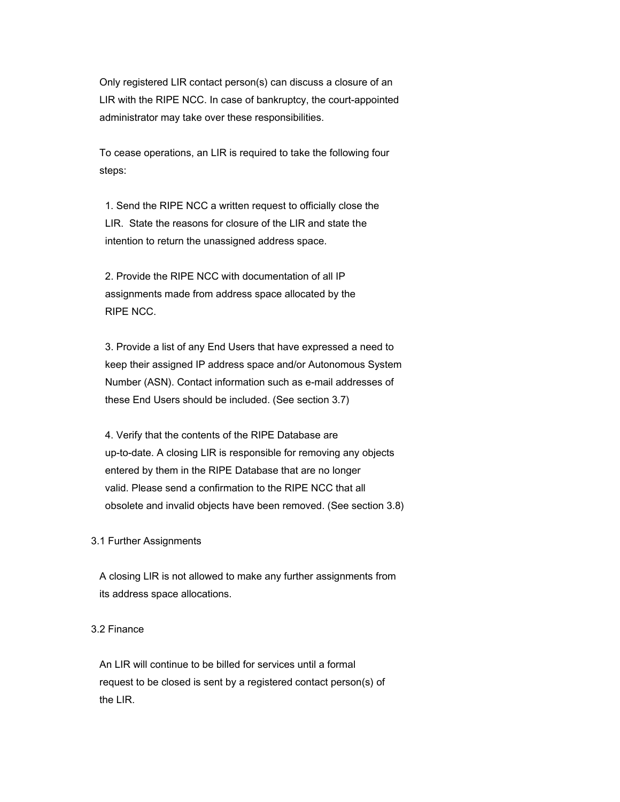Only registered LIR contact person(s) can discuss a closure of an LIR with the RIPE NCC. In case of bankruptcy, the court-appointed administrator may take over these responsibilities.

 To cease operations, an LIR is required to take the following four steps:

 1. Send the RIPE NCC a written request to officially close the LIR. State the reasons for closure of the LIR and state the intention to return the unassigned address space.

 2. Provide the RIPE NCC with documentation of all IP assignments made from address space allocated by the RIPE NCC.

 3. Provide a list of any End Users that have expressed a need to keep their assigned IP address space and/or Autonomous System Number (ASN). Contact information such as e-mail addresses of these End Users should be included. (See section 3.7)

 4. Verify that the contents of the RIPE Database are up-to-date. A closing LIR is responsible for removing any objects entered by them in the RIPE Database that are no longer valid. Please send a confirmation to the RIPE NCC that all obsolete and invalid objects have been removed. (See section 3.8)

## 3.1 Further Assignments

 A closing LIR is not allowed to make any further assignments from its address space allocations.

# 3.2 Finance

 An LIR will continue to be billed for services until a formal request to be closed is sent by a registered contact person(s) of the LIR.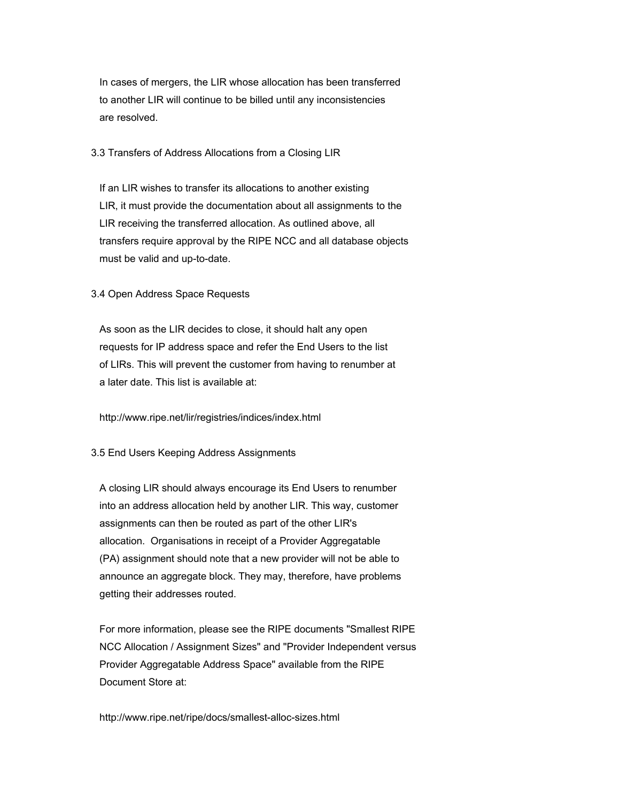In cases of mergers, the LIR whose allocation has been transferred to another LIR will continue to be billed until any inconsistencies are resolved.

## 3.3 Transfers of Address Allocations from a Closing LIR

 If an LIR wishes to transfer its allocations to another existing LIR, it must provide the documentation about all assignments to the LIR receiving the transferred allocation. As outlined above, all transfers require approval by the RIPE NCC and all database objects must be valid and up-to-date.

# 3.4 Open Address Space Requests

 As soon as the LIR decides to close, it should halt any open requests for IP address space and refer the End Users to the list of LIRs. This will prevent the customer from having to renumber at a later date. This list is available at:

http://www.ripe.net/lir/registries/indices/index.html

## 3.5 End Users Keeping Address Assignments

 A closing LIR should always encourage its End Users to renumber into an address allocation held by another LIR. This way, customer assignments can then be routed as part of the other LIR's allocation. Organisations in receipt of a Provider Aggregatable (PA) assignment should note that a new provider will not be able to announce an aggregate block. They may, therefore, have problems getting their addresses routed.

 For more information, please see the RIPE documents "Smallest RIPE NCC Allocation / Assignment Sizes" and "Provider Independent versus Provider Aggregatable Address Space" available from the RIPE Document Store at:

http://www.ripe.net/ripe/docs/smallest-alloc-sizes.html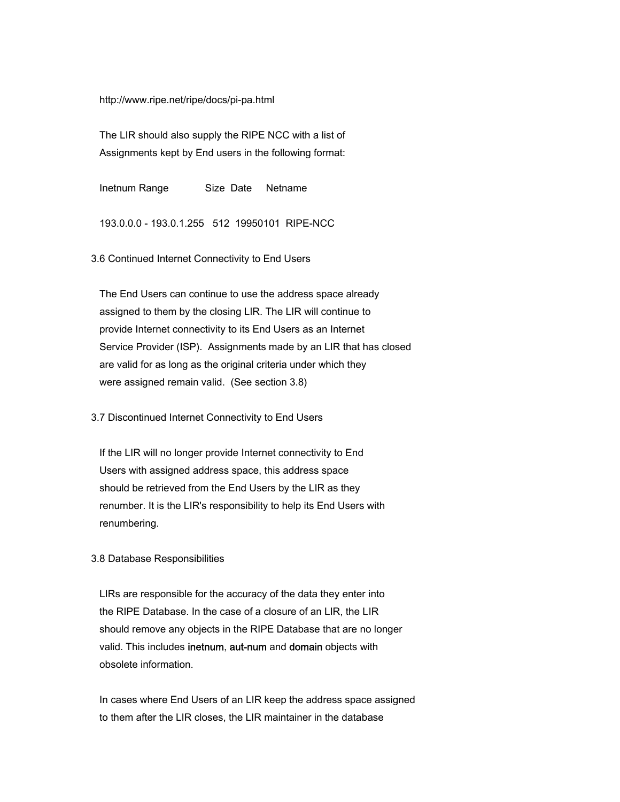http://www.ripe.net/ripe/docs/pi-pa.html

 The LIR should also supply the RIPE NCC with a list of Assignments kept by End users in the following format:

Inetnum Range Size Date Netname

193.0.0.0 - 193.0.1.255 512 19950101 RIPE-NCC

3.6 Continued Internet Connectivity to End Users

 The End Users can continue to use the address space already assigned to them by the closing LIR. The LIR will continue to provide Internet connectivity to its End Users as an Internet Service Provider (ISP). Assignments made by an LIR that has closed are valid for as long as the original criteria under which they were assigned remain valid. (See section 3.8)

3.7 Discontinued Internet Connectivity to End Users

 If the LIR will no longer provide Internet connectivity to End Users with assigned address space, this address space should be retrieved from the End Users by the LIR as they renumber. It is the LIR's responsibility to help its End Users with renumbering.

#### 3.8 Database Responsibilities

 LIRs are responsible for the accuracy of the data they enter into the RIPE Database. In the case of a closure of an LIR, the LIR should remove any objects in the RIPE Database that are no longer valid. This includes inetnum, aut-num and domain objects with obsolete information.

 In cases where End Users of an LIR keep the address space assigned to them after the LIR closes, the LIR maintainer in the database